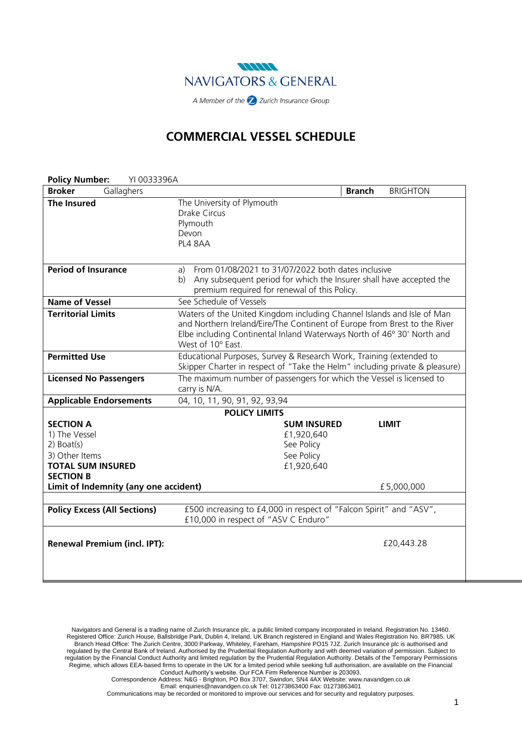

# **COMMERCIAL VESSEL SCHEDULE**

| <b>Policy Number:</b><br>YI 0033396A                                                                                |                                                                                                                                                                                                                                                    |  |  |  |
|---------------------------------------------------------------------------------------------------------------------|----------------------------------------------------------------------------------------------------------------------------------------------------------------------------------------------------------------------------------------------------|--|--|--|
| Gallaghers<br><b>Broker</b>                                                                                         | <b>BRIGHTON</b><br><b>Branch</b>                                                                                                                                                                                                                   |  |  |  |
| <b>The Insured</b>                                                                                                  | The University of Plymouth<br><b>Drake Circus</b><br>Plymouth<br>Devon<br>PL4 8AA                                                                                                                                                                  |  |  |  |
| <b>Period of Insurance</b>                                                                                          | From 01/08/2021 to 31/07/2022 both dates inclusive<br>a)<br>Any subsequent period for which the Insurer shall have accepted the<br>b)<br>premium required for renewal of this Policy.                                                              |  |  |  |
| <b>Name of Vessel</b>                                                                                               | See Schedule of Vessels                                                                                                                                                                                                                            |  |  |  |
| <b>Territorial Limits</b>                                                                                           | Waters of the United Kingdom including Channel Islands and Isle of Man<br>and Northern Ireland/Eire/The Continent of Europe from Brest to the River<br>Elbe including Continental Inland Waterways North of 46° 30' North and<br>West of 10° East. |  |  |  |
| <b>Permitted Use</b>                                                                                                | Educational Purposes, Survey & Research Work, Training (extended to<br>Skipper Charter in respect of "Take the Helm" including private & pleasure)                                                                                                 |  |  |  |
| <b>Licensed No Passengers</b>                                                                                       | The maximum number of passengers for which the Vessel is licensed to<br>carry is N/A.                                                                                                                                                              |  |  |  |
| <b>Applicable Endorsements</b>                                                                                      | 04, 10, 11, 90, 91, 92, 93, 94                                                                                                                                                                                                                     |  |  |  |
| <b>POLICY LIMITS</b>                                                                                                |                                                                                                                                                                                                                                                    |  |  |  |
| <b>SECTION A</b><br>1) The Vessel<br>$2)$ Boat(s)<br>3) Other Items<br><b>TOTAL SUM INSURED</b><br><b>SECTION B</b> | <b>SUM INSURED</b><br><b>LIMIT</b><br>£1,920,640<br>See Policy<br>See Policy<br>£1,920,640                                                                                                                                                         |  |  |  |
| Limit of Indemnity (any one accident)                                                                               | £5,000,000                                                                                                                                                                                                                                         |  |  |  |
| <b>Policy Excess (All Sections)</b>                                                                                 | £500 increasing to £4,000 in respect of "Falcon Spirit" and "ASV",<br>£10,000 in respect of "ASV C Enduro"                                                                                                                                         |  |  |  |
| <b>Renewal Premium (incl. IPT):</b>                                                                                 | £20,443.28                                                                                                                                                                                                                                         |  |  |  |

Communications may be recorded or monitored to improve our services and for security and regulatory purposes.

Navigators and General is a trading name of Zurich Insurance plc, a public limited company incorporated in Ireland. Registration No. 13460. Registered Office: Zurich House, Ballsbridge Park, Dublin 4, Ireland. UK Branch registered in England and Wales Registration No. BR7985. UK Branch Head Office: The Zurich Centre, 3000 Parkway, Whiteley, Fareham, Hampshire PO15 7JZ. Zurich Insurance plc is authorised and regulated by the Central Bank of Ireland. Authorised by the Prudential Regulation Authority and with deemed variation of permission. Subject to regulation by the Financial Conduct Authority and limited regulation by the Prudential Regulation Authority. Details of the Temporary Permissions Regime, which allows EEA‐based firms to operate in the UK for a limited period while seeking full authorisation, are available on the Financial Conduct Authority's website. Our FCA Firm Reference Number is 203093.

Correspondence Address: N&G - Brighton, PO Box 3707, Swindon, SN4 4AX Website: www.navandgen.co.uk

Email: enquiries@navandgen.co.uk Tel: 01273863400 Fax: 01273863401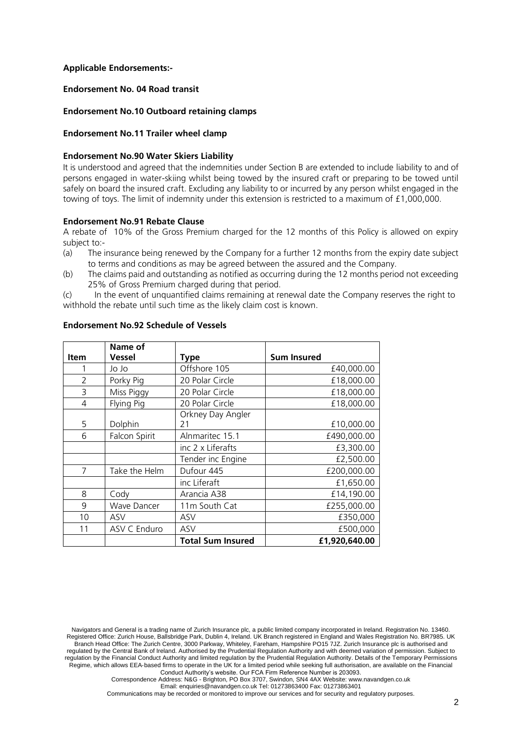## **Applicable Endorsements:-**

### **Endorsement No. 04 Road transit**

## **Endorsement No.10 Outboard retaining clamps**

### **Endorsement No.11 Trailer wheel clamp**

### **Endorsement No.90 Water Skiers Liability**

It is understood and agreed that the indemnities under Section B are extended to include liability to and of persons engaged in water-skiing whilst being towed by the insured craft or preparing to be towed until safely on board the insured craft. Excluding any liability to or incurred by any person whilst engaged in the towing of toys. The limit of indemnity under this extension is restricted to a maximum of £1,000,000.

#### **Endorsement No.91 Rebate Clause**

A rebate of 10% of the Gross Premium charged for the 12 months of this Policy is allowed on expiry subject to:-

- (a) The insurance being renewed by the Company for a further 12 months from the expiry date subject to terms and conditions as may be agreed between the assured and the Company.
- (b) The claims paid and outstanding as notified as occurring during the 12 months period not exceeding 25% of Gross Premium charged during that period.

(c) In the event of unquantified claims remaining at renewal date the Company reserves the right to withhold the rebate until such time as the likely claim cost is known.

|             | Name of            |                          |                    |
|-------------|--------------------|--------------------------|--------------------|
| <b>Item</b> | <b>Vessel</b>      | <b>Type</b>              | <b>Sum Insured</b> |
|             | Jo Jo              | Offshore 105             | £40,000.00         |
| 2           | Porky Pig          | 20 Polar Circle          | £18,000.00         |
| 3           | Miss Piggy         | 20 Polar Circle          | £18,000.00         |
| 4           | Flying Pig         | 20 Polar Circle          | £18,000.00         |
|             |                    | Orkney Day Angler        |                    |
| 5           | Dolphin            | 21                       | £10,000.00         |
| 6           | Falcon Spirit      | Alnmaritec 15.1          | £490,000.00        |
|             |                    | inc 2 x Liferafts        | £3,300.00          |
|             |                    | Tender inc Engine        | £2,500.00          |
| 7           | Take the Helm      | Dufour 445               | £200,000.00        |
|             |                    | inc Liferaft             | £1,650.00          |
| 8           | Cody               | Arancia A38              | £14,190.00         |
| 9           | <b>Wave Dancer</b> | 11m South Cat            | £255,000.00        |
| 10          | ASV                | ASV                      | £350,000           |
| 11          | ASV C Enduro       | ASV                      | £500,000           |
|             |                    | <b>Total Sum Insured</b> | £1,920,640.00      |

### **Endorsement No.92 Schedule of Vessels**

Email: enquiries@navandgen.co.uk Tel: 01273863400 Fax: 01273863401

Communications may be recorded or monitored to improve our services and for security and regulatory purposes.

Navigators and General is a trading name of Zurich Insurance plc, a public limited company incorporated in Ireland. Registration No. 13460. Registered Office: Zurich House, Ballsbridge Park, Dublin 4, Ireland. UK Branch registered in England and Wales Registration No. BR7985. UK Branch Head Office: The Zurich Centre, 3000 Parkway, Whiteley, Fareham, Hampshire PO15 7JZ. Zurich Insurance plc is authorised and regulated by the Central Bank of Ireland. Authorised by the Prudential Regulation Authority and with deemed variation of permission. Subject to regulation by the Financial Conduct Authority and limited regulation by the Prudential Regulation Authority. Details of the Temporary Permissions Regime, which allows EEA‐based firms to operate in the UK for a limited period while seeking full authorisation, are available on the Financial Conduct Authority's website. Our FCA Firm Reference Number is 203093.

Correspondence Address: N&G - Brighton, PO Box 3707, Swindon, SN4 4AX Website: www.navandgen.co.uk